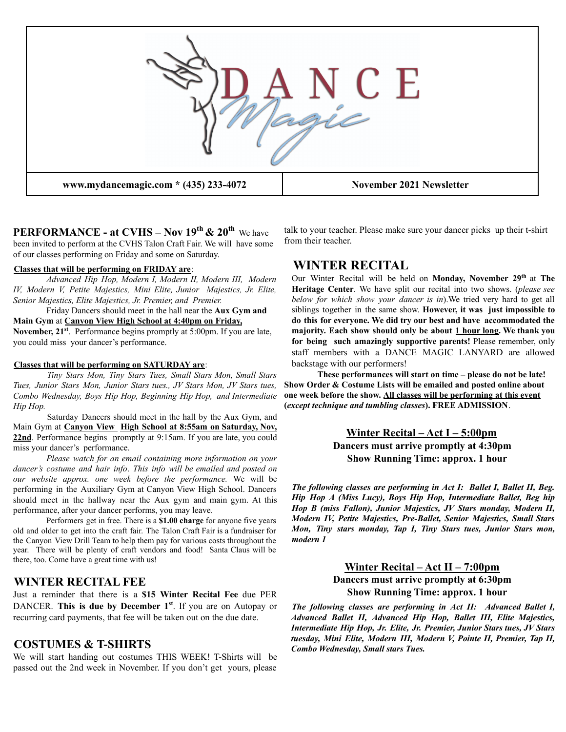

**PERFORMANCE - at CVHS – Nov 19th & 20th** We have been invited to perform at the CVHS Talon Craft Fair. We will have some of our classes performing on Friday and some on Saturday.

#### **Classes that will be performing on FRIDAY are**:

*Advanced Hip Hop, Modern I, Modern II, Modern III, Modern IV, Modern V, Petite Majestics, Mini Elite, Junior Majestics, Jr. Elite, Senior Majestics, Elite Majestics, Jr. Premier, and Premier.*

### Friday Dancers should meet in the hall near the **Aux Gym and Main Gym** at **Canyon View High School at 4:40pm on Friday,**

November, 21<sup>st</sup>. Performance begins promptly at 5:00pm. If you are late, you could miss your dancer's performance.

#### **Classes that will be performing on SATURDAY are**:

*Tiny Stars Mon, Tiny Stars Tues, Small Stars Mon, Small Stars Tues, Junior Stars Mon, Junior Stars tues., JV Stars Mon, JV Stars tues, Combo Wednesday, Boys Hip Hop, Beginning Hip Hop, and Intermediate Hip Hop.*

Saturday Dancers should meet in the hall by the Aux Gym, and Main Gym at **Canyon View High School at 8:55am on Saturday, Nov,** 22nd. Performance begins promptly at 9:15am. If you are late, you could miss your dancer's performance.

*Please watch for an email containing more information on your dancer's costume and hair info*. *This info will be emailed and posted on our website approx. one week before the performance.* We will be performing in the Auxiliary Gym at Canyon View High School. Dancers should meet in the hallway near the Aux gym and main gym. At this performance, after your dancer performs, you may leave.

Performers get in free. There is a **\$1.00 charge** for anyone five years old and older to get into the craft fair. The Talon Craft Fair is a fundraiser for the Canyon View Drill Team to help them pay for various costs throughout the year. There will be plenty of craft vendors and food! Santa Claus will be there, too. Come have a great time with us!

#### **WINTER RECITAL FEE**

Just a reminder that there is a **\$15 Winter Recital Fee** due PER DANCER. **This is due by December 1 st** . If you are on Autopay or recurring card payments, that fee will be taken out on the due date.

### **COSTUMES & T-SHIRTS**

We will start handing out costumes THIS WEEK! T-Shirts will be passed out the 2nd week in November. If you don't get yours, please talk to your teacher. Please make sure your dancer picks up their t-shirt from their teacher.

# **WINTER RECITAL**

Our Winter Recital will be held on **Monday**, November 29<sup>th</sup> at The **Heritage Center**. We have split our recital into two shows. (*please see below for which show your dancer is in*).We tried very hard to get all siblings together in the same show. **However, it was just impossible to do this for everyone. We did try our best and have accommodated the majority. Each show should only be about 1 hour long. We thank you for being such amazingly supportive parents!** Please remember, only staff members with a DANCE MAGIC LANYARD are allowed backstage with our performers!

**These performances will start on time – please do not be late! Show Order & Costume Lists will be emailed and posted online about one week before the show. All classes will be performing at this event (***except technique and tumbling classes***). FREE ADMISSION**.

# **Winter Recital – Act I – 5:00pm Dancers must arrive promptly at 4:30pm Show Running Time: approx. 1 hour**

*The following classes are performing in Act I: Ballet I, Ballet II, Beg. Hip Hop A (Miss Lucy), Boys Hip Hop, Intermediate Ballet, Beg hip Hop B (miss Fallon), Junior Majestics, JV Stars monday, Modern II, Modern IV, Petite Majestics, Pre-Ballet, Senior Majestics, Small Stars Mon, Tiny stars monday, Tap I, Tiny Stars tues, Junior Stars mon, modern 1*

### **Winter Recital – Act II – 7:00pm Dancers must arrive promptly at 6:30pm Show Running Time: approx. 1 hour**

*The following classes are performing in Act II: Advanced Ballet I, Advanced Ballet II, Advanced Hip Hop, Ballet III, Elite Majestics, Intermediate Hip Hop, Jr. Elite, Jr. Premier, Junior Stars tues, JV Stars tuesday, Mini Elite, Modern III, Modern V, Pointe II, Premier, Tap II, Combo Wednesday, Small stars Tues.*